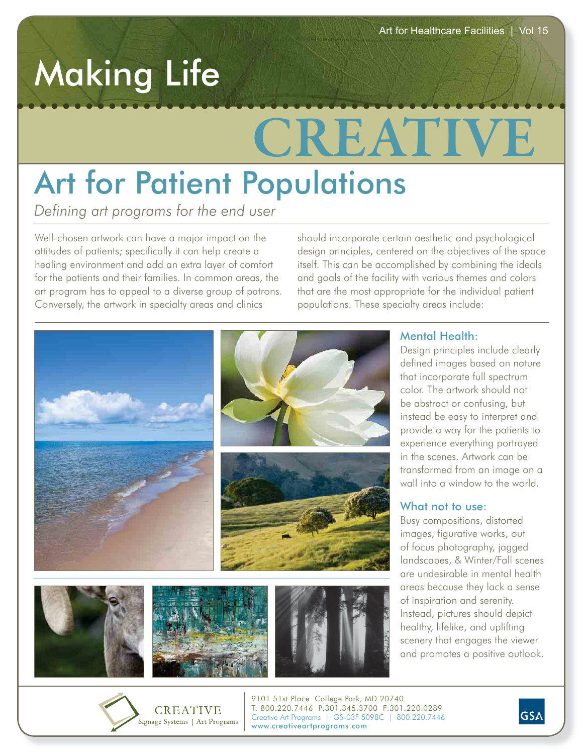## Making Life

# **CREATIVE**

**Defining art programs for the end user** 

Well-chosen artwork can have a major impact on the attitudes of patients; specifically it can help create a healing environment and add an extra layer of comfort for the patients and their families. In common areas, the art program has to appeal to a diverse group of patrons. Conversely, the artwork in specialty areas and clinics

Signage Systems | Art Programs

should incorporate certain aesthetic and psychological design principles, centered on the objectives of the space itself. This can be accomplished by combining the ideals and goals of the facility with various themes and colors that are the most appropriate for the individual patient populations. These specialty areas include:



www.creativeartprograms.com